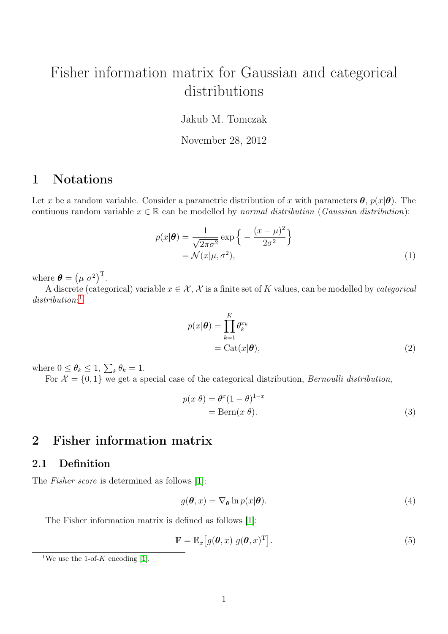# Fisher information matrix for Gaussian and categorical distributions

Jakub M. Tomczak

November 28, 2012

## 1 Notations

Let x be a random variable. Consider a parametric distribution of x with parameters  $\theta$ ,  $p(x|\theta)$ . The contiuous random variable  $x \in \mathbb{R}$  can be modelled by normal distribution (Gaussian distribution):

$$
p(x|\theta) = \frac{1}{\sqrt{2\pi\sigma^2}} \exp\left\{-\frac{(x-\mu)^2}{2\sigma^2}\right\}
$$
  
=  $\mathcal{N}(x|\mu, \sigma^2)$ , (1)

where  $\boldsymbol{\theta} = (\mu \ \sigma^2)^T$ .

A discrete (categorical) variable  $x \in \mathcal{X}, \mathcal{X}$  is a finite set of K values, can be modelled by *categorical* distribution:<sup>[1](#page-0-0)</sup>

<span id="page-0-3"></span><span id="page-0-2"></span>
$$
p(x|\boldsymbol{\theta}) = \prod_{k=1}^{K} \theta_k^{x_k}
$$
  
= 
$$
\text{Cat}(x|\boldsymbol{\theta}),
$$
 (2)

where  $0 \leq \theta_k \leq 1$ ,  $\sum_k \theta_k = 1$ .

For  $\mathcal{X} = \{0, 1\}$  we get a special case of the categorical distribution, *Bernoulli distribution*,

<span id="page-0-1"></span>
$$
p(x|\theta) = \theta^x (1 - \theta)^{1 - x}
$$
  
= Bern $(x|\theta)$ . (3)

### 2 Fisher information matrix

#### 2.1 Definition

The Fisher score is determined as follows [\[1\]](#page-4-0):

$$
g(\boldsymbol{\theta}, x) = \nabla_{\boldsymbol{\theta}} \ln p(x|\boldsymbol{\theta}). \tag{4}
$$

The Fisher information matrix is defined as follows [\[1\]](#page-4-0):

$$
\mathbf{F} = \mathbb{E}_x \big[ g(\boldsymbol{\theta}, x) \ g(\boldsymbol{\theta}, x)^{\mathrm{T}} \big]. \tag{5}
$$

<span id="page-0-0"></span><sup>&</sup>lt;sup>1</sup>We use the 1-of-K encoding [\[1\]](#page-4-0).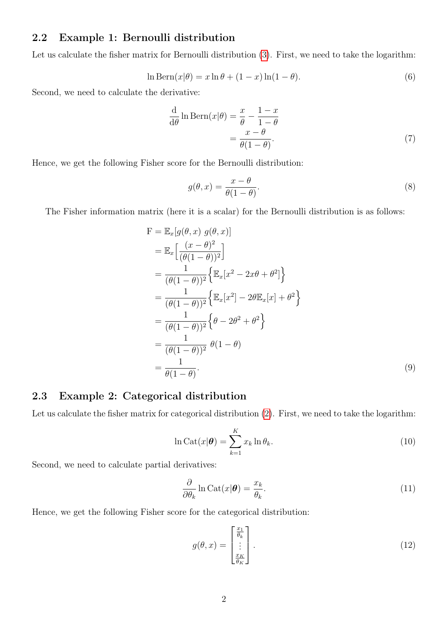#### 2.2 Example 1: Bernoulli distribution

Let us calculate the fisher matrix for Bernoulli distribution [\(3\)](#page-0-1). First, we need to take the logarithm:

$$
\ln \text{Bern}(x|\theta) = x \ln \theta + (1 - x) \ln(1 - \theta). \tag{6}
$$

Second, we need to calculate the derivative:

$$
\frac{\mathrm{d}}{\mathrm{d}\theta}\ln\mathrm{Bern}(x|\theta) = \frac{x}{\theta} - \frac{1-x}{1-\theta} \n= \frac{x-\theta}{\theta(1-\theta)}.
$$
\n(7)

Hence, we get the following Fisher score for the Bernoulli distribution:

$$
g(\theta, x) = \frac{x - \theta}{\theta(1 - \theta)}.
$$
\n(8)

The Fisher information matrix (here it is a scalar) for the Bernoulli distribution is as follows:

$$
F = \mathbb{E}_x[g(\theta, x) g(\theta, x)]
$$
  
\n
$$
= \mathbb{E}_x\left[\frac{(x - \theta)^2}{(\theta(1 - \theta))^2}\right]
$$
  
\n
$$
= \frac{1}{(\theta(1 - \theta))^2}\left\{\mathbb{E}_x[x^2 - 2x\theta + \theta^2]\right\}
$$
  
\n
$$
= \frac{1}{(\theta(1 - \theta))^2}\left\{\mathbb{E}_x[x^2] - 2\theta\mathbb{E}_x[x] + \theta^2\right\}
$$
  
\n
$$
= \frac{1}{(\theta(1 - \theta))^2}\left\{\theta - 2\theta^2 + \theta^2\right\}
$$
  
\n
$$
= \frac{1}{(\theta(1 - \theta))^2}\theta(1 - \theta)
$$
  
\n
$$
= \frac{1}{\theta(1 - \theta)}.
$$
\n(9)

#### 2.3 Example 2: Categorical distribution

Let us calculate the fisher matrix for categorical distribution [\(2\)](#page-0-2). First, we need to take the logarithm:

$$
\ln \text{Cat}(x|\boldsymbol{\theta}) = \sum_{k=1}^{K} x_k \ln \theta_k.
$$
\n(10)

Second, we need to calculate partial derivatives:

$$
\frac{\partial}{\partial \theta_k} \ln \text{Cat}(x|\boldsymbol{\theta}) = \frac{x_k}{\theta_k}.
$$
\n(11)

Hence, we get the following Fisher score for the categorical distribution:

$$
g(\theta, x) = \begin{bmatrix} \frac{x_1}{\theta_k} \\ \vdots \\ \frac{x_K}{\theta_K} \end{bmatrix} .
$$
 (12)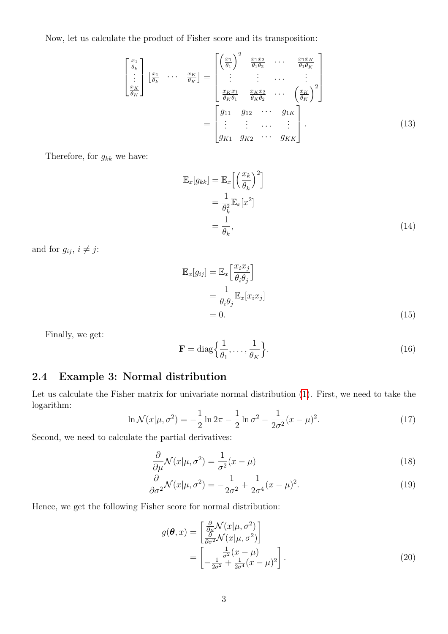Now, let us calculate the product of Fisher score and its transposition:

$$
\begin{bmatrix}\n\frac{x_1}{\theta_k} \\
\vdots \\
\frac{x_K}{\theta_K}\n\end{bmatrix}\n\begin{bmatrix}\n\frac{x_1}{\theta_k} & \cdots & \frac{x_K}{\theta_K}\n\end{bmatrix} = \n\begin{bmatrix}\n\left(\frac{x_1}{\theta_1}\right)^2 & \frac{x_1 x_2}{\theta_1 \theta_2} & \cdots & \frac{x_1 x_K}{\theta_1 \theta_K} \\
\vdots & \vdots & \cdots & \vdots \\
\frac{x_K x_1}{\theta_K \theta_1} & \frac{x_K x_2}{\theta_K \theta_2} & \cdots & \left(\frac{x_K}{\theta_K}\right)^2\n\end{bmatrix}
$$
\n
$$
= \n\begin{bmatrix}\ng_{11} & g_{12} & \cdots & g_{1K} \\
\vdots & \vdots & \cdots & \vdots \\
g_{K1} & g_{K2} & \cdots & g_{KK}\n\end{bmatrix}.
$$
\n(13)

Therefore, for  $g_{kk}$  we have:

$$
\mathbb{E}_x[g_{kk}] = \mathbb{E}_x \left[ \left( \frac{x_k}{\theta_k} \right)^2 \right]
$$
  
=  $\frac{1}{\theta_k^2} \mathbb{E}_x[x^2]$   
=  $\frac{1}{\theta_k}$ , (14)

and for  $g_{ij}$ ,  $i \neq j$ :

$$
\mathbb{E}_x[g_{ij}] = \mathbb{E}_x \left[ \frac{x_i x_j}{\theta_i \theta_j} \right]
$$
  
=  $\frac{1}{\theta_i \theta_j} \mathbb{E}_x[x_i x_j]$   
= 0. (15)

Finally, we get:

$$
\mathbf{F} = \text{diag}\left\{\frac{1}{\theta_1}, \dots, \frac{1}{\theta_K}\right\}.
$$
 (16)

#### 2.4 Example 3: Normal distribution

Let us calculate the Fisher matrix for univariate normal distribution [\(1\)](#page-0-3). First, we need to take the logarithm:

$$
\ln \mathcal{N}(x|\mu, \sigma^2) = -\frac{1}{2}\ln 2\pi - \frac{1}{2}\ln \sigma^2 - \frac{1}{2\sigma^2}(x - \mu)^2.
$$
 (17)

Second, we need to calculate the partial derivatives:

$$
\frac{\partial}{\partial \mu} \mathcal{N}(x|\mu, \sigma^2) = \frac{1}{\sigma^2} (x - \mu)
$$
\n(18)

$$
\frac{\partial}{\partial \sigma^2} \mathcal{N}(x|\mu, \sigma^2) = -\frac{1}{2\sigma^2} + \frac{1}{2\sigma^4} (x - \mu)^2.
$$
 (19)

Hence, we get the following Fisher score for normal distribution:

$$
g(\boldsymbol{\theta}, x) = \begin{bmatrix} \frac{\partial}{\partial \mu} \mathcal{N}(x | \mu, \sigma^2) \\ \frac{\partial}{\partial \sigma^2} \mathcal{N}(x | \mu, \sigma^2) \end{bmatrix}
$$
  
= 
$$
\begin{bmatrix} \frac{1}{\sigma^2} (x - \mu) \\ -\frac{1}{2\sigma^2} + \frac{1}{2\sigma^4} (x - \mu)^2 \end{bmatrix}.
$$
 (20)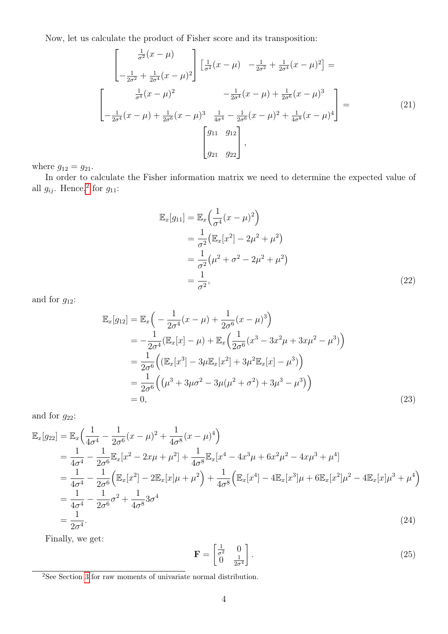Now, let us calculate the product of Fisher score and its transposition:

$$
\begin{bmatrix}\n\frac{1}{\sigma^2}(x-\mu) \\
-\frac{1}{2\sigma^2} + \frac{1}{2\sigma^4}(x-\mu)^2\n\end{bmatrix}\n\begin{bmatrix}\n\frac{1}{\sigma^2}(x-\mu) & -\frac{1}{2\sigma^2} + \frac{1}{2\sigma^4}(x-\mu)^2\n\end{bmatrix} =
$$
\n
$$
\begin{bmatrix}\n\frac{1}{\sigma^4}(x-\mu)^2 & -\frac{1}{2\sigma^4}(x-\mu) + \frac{1}{2\sigma^6}(x-\mu)^3 \\
-\frac{1}{2\sigma^4}(x-\mu) + \frac{1}{2\sigma^6}(x-\mu)^3 & \frac{1}{4\sigma^4} - \frac{1}{2\sigma^6}(x-\mu)^2 + \frac{1}{4\sigma^8}(x-\mu)^4\n\end{bmatrix} =
$$
\n(21)\n
$$
\begin{bmatrix}\ng_{11} & g_{12} \\
g_{21} & g_{22}\n\end{bmatrix},
$$

where  $g_{12} = g_{21}$ .

In order to calculate the Fisher information matrix we need to determine the expected value of all  $g_{ij}$ . Hence,<sup>[2](#page-3-0)</sup> for  $g_{11}$ :

$$
\mathbb{E}_x[g_{11}] = \mathbb{E}_x \left( \frac{1}{\sigma^4} (x - \mu)^2 \right)
$$
  
=  $\frac{1}{\sigma^2} \left( \mathbb{E}_x [x^2] - 2\mu^2 + \mu^2 \right)$   
=  $\frac{1}{\sigma^2} (\mu^2 + \sigma^2 - 2\mu^2 + \mu^2)$   
=  $\frac{1}{\sigma^2}$ , (22)

and for  $g_{12}$ :

$$
\mathbb{E}_{x}[g_{12}] = \mathbb{E}_{x}\left(-\frac{1}{2\sigma^{4}}(x-\mu) + \frac{1}{2\sigma^{6}}(x-\mu)^{3}\right)
$$
  
\n
$$
= -\frac{1}{2\sigma^{4}}(\mathbb{E}_{x}[x] - \mu) + \mathbb{E}_{x}\left(\frac{1}{2\sigma^{6}}(x^{3} - 3x^{2}\mu + 3x\mu^{2} - \mu^{3})\right)
$$
  
\n
$$
= \frac{1}{2\sigma^{6}}\left((\mathbb{E}_{x}[x^{3}] - 3\mu\mathbb{E}_{x}[x^{2}] + 3\mu^{2}\mathbb{E}_{x}[x] - \mu^{3})\right)
$$
  
\n
$$
= \frac{1}{2\sigma^{6}}\left((\mu^{3} + 3\mu\sigma^{2} - 3\mu(\mu^{2} + \sigma^{2}) + 3\mu^{3} - \mu^{3})\right)
$$
  
\n
$$
= 0,
$$
\n(23)

and for  $g_{22}$ :

$$
\mathbb{E}_{x}[g_{22}] = \mathbb{E}_{x}\left(\frac{1}{4\sigma^{4}} - \frac{1}{2\sigma^{6}}(x-\mu)^{2} + \frac{1}{4\sigma^{8}}(x-\mu)^{4}\right)
$$
\n
$$
= \frac{1}{4\sigma^{4}} - \frac{1}{2\sigma^{6}}\mathbb{E}_{x}[x^{2} - 2x\mu + \mu^{2}] + \frac{1}{4\sigma^{8}}\mathbb{E}_{x}[x^{4} - 4x^{3}\mu + 6x^{2}\mu^{2} - 4x\mu^{3} + \mu^{4}]
$$
\n
$$
= \frac{1}{4\sigma^{4}} - \frac{1}{2\sigma^{6}}\left(\mathbb{E}_{x}[x^{2}] - 2\mathbb{E}_{x}[x]\mu + \mu^{2}\right) + \frac{1}{4\sigma^{8}}\left(\mathbb{E}_{x}[x^{4}] - 4\mathbb{E}_{x}[x^{3}]\mu + 6\mathbb{E}_{x}[x^{2}]\mu^{2} - 4\mathbb{E}_{x}[x]\mu^{3} + \mu^{4}\right)
$$
\n
$$
= \frac{1}{4\sigma^{4}} - \frac{1}{2\sigma^{6}}\sigma^{2} + \frac{1}{4\sigma^{8}}3\sigma^{4}
$$
\n
$$
= \frac{1}{2\sigma^{4}}.
$$
\n(24)

Finally, we get:

$$
\mathbf{F} = \begin{bmatrix} \frac{1}{\sigma^2} & 0\\ 0 & \frac{1}{2\sigma^4} \end{bmatrix} . \tag{25}
$$

<span id="page-3-0"></span><sup>&</sup>lt;sup>2</sup>See Section [3](#page-4-1) for raw moments of univariate normal distribution.